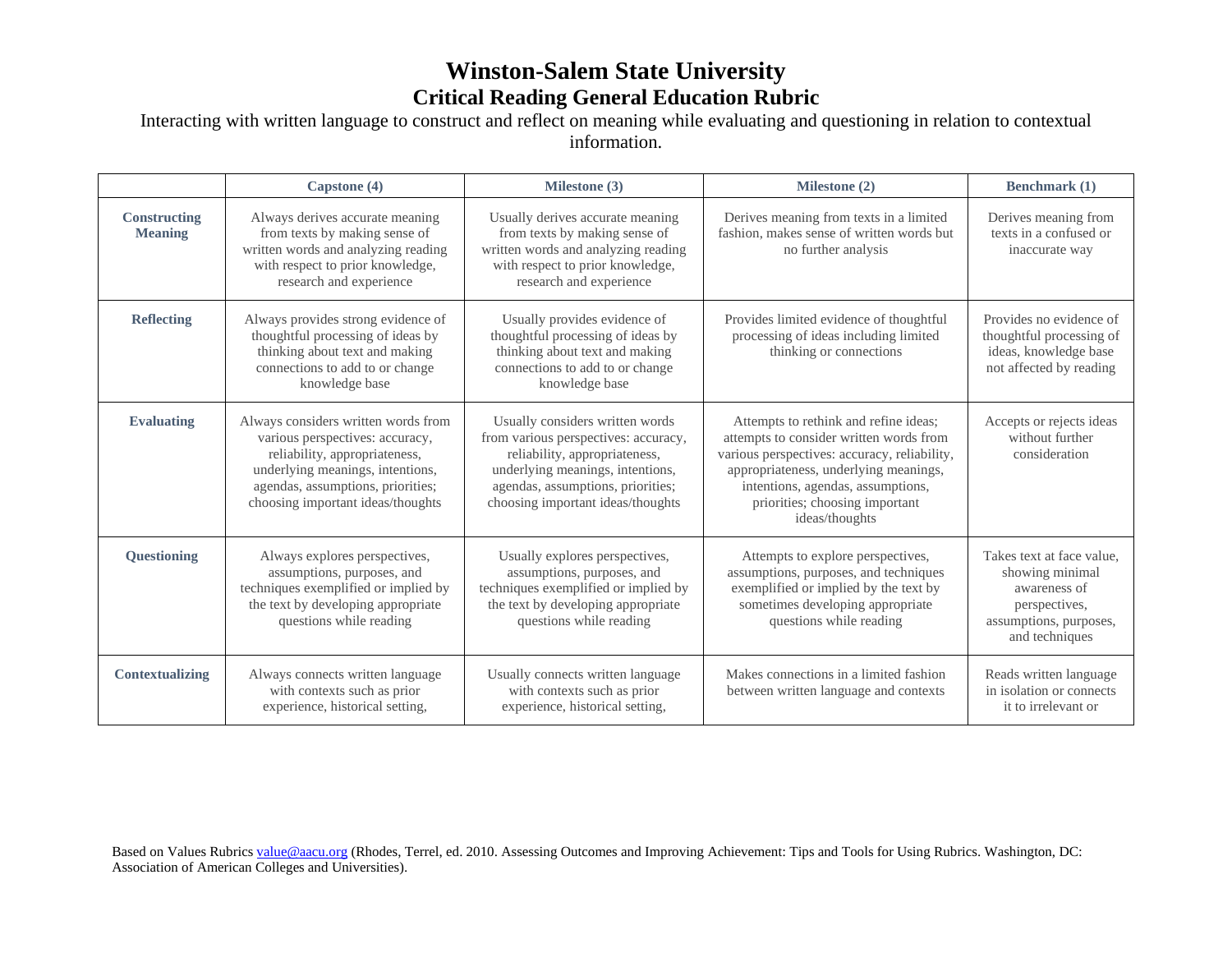## **Winston-Salem State University Critical Reading General Education Rubric**

Interacting with written language to construct and reflect on meaning while evaluating and questioning in relation to contextual information.

|                                | Capstone (4)                                                                                                                                                                                                          | Milestone (3)                                                                                                                                                                                                          | Milestone (2)                                                                                                                                                                                                                                                      | Benchmark (1)                                                                                                             |
|--------------------------------|-----------------------------------------------------------------------------------------------------------------------------------------------------------------------------------------------------------------------|------------------------------------------------------------------------------------------------------------------------------------------------------------------------------------------------------------------------|--------------------------------------------------------------------------------------------------------------------------------------------------------------------------------------------------------------------------------------------------------------------|---------------------------------------------------------------------------------------------------------------------------|
| Constructing<br><b>Meaning</b> | Always derives accurate meaning<br>from texts by making sense of<br>written words and analyzing reading<br>with respect to prior knowledge,<br>research and experience                                                | Usually derives accurate meaning<br>from texts by making sense of<br>written words and analyzing reading<br>with respect to prior knowledge,<br>research and experience                                                | Derives meaning from texts in a limited<br>fashion, makes sense of written words but<br>no further analysis                                                                                                                                                        | Derives meaning from<br>texts in a confused or<br>inaccurate way                                                          |
| <b>Reflecting</b>              | Always provides strong evidence of<br>thoughtful processing of ideas by<br>thinking about text and making<br>connections to add to or change<br>knowledge base                                                        | Usually provides evidence of<br>thoughtful processing of ideas by<br>thinking about text and making<br>connections to add to or change<br>knowledge base                                                               | Provides limited evidence of thoughtful<br>processing of ideas including limited<br>thinking or connections                                                                                                                                                        | Provides no evidence of<br>thoughtful processing of<br>ideas, knowledge base<br>not affected by reading                   |
| <b>Evaluating</b>              | Always considers written words from<br>various perspectives: accuracy,<br>reliability, appropriateness,<br>underlying meanings, intentions,<br>agendas, assumptions, priorities;<br>choosing important ideas/thoughts | Usually considers written words<br>from various perspectives: accuracy,<br>reliability, appropriateness,<br>underlying meanings, intentions,<br>agendas, assumptions, priorities;<br>choosing important ideas/thoughts | Attempts to rethink and refine ideas;<br>attempts to consider written words from<br>various perspectives: accuracy, reliability,<br>appropriateness, underlying meanings,<br>intentions, agendas, assumptions,<br>priorities; choosing important<br>ideas/thoughts | Accepts or rejects ideas<br>without further<br>consideration                                                              |
| Questioning                    | Always explores perspectives,<br>assumptions, purposes, and<br>techniques exemplified or implied by<br>the text by developing appropriate<br>questions while reading                                                  | Usually explores perspectives,<br>assumptions, purposes, and<br>techniques exemplified or implied by<br>the text by developing appropriate<br>questions while reading                                                  | Attempts to explore perspectives,<br>assumptions, purposes, and techniques<br>exemplified or implied by the text by<br>sometimes developing appropriate<br>questions while reading                                                                                 | Takes text at face value.<br>showing minimal<br>awareness of<br>perspectives,<br>assumptions, purposes,<br>and techniques |
| <b>Contextualizing</b>         | Always connects written language<br>with contexts such as prior<br>experience, historical setting,                                                                                                                    | Usually connects written language<br>with contexts such as prior<br>experience, historical setting,                                                                                                                    | Makes connections in a limited fashion<br>between written language and contexts                                                                                                                                                                                    | Reads written language<br>in isolation or connects<br>it to irrelevant or                                                 |

Based on Values Rubrics [value@aacu.org](mailto:value@aacu.org) (Rhodes, Terrel, ed. 2010. Assessing Outcomes and Improving Achievement: Tips and Tools for Using Rubrics. Washington, DC: Association of American Colleges and Universities).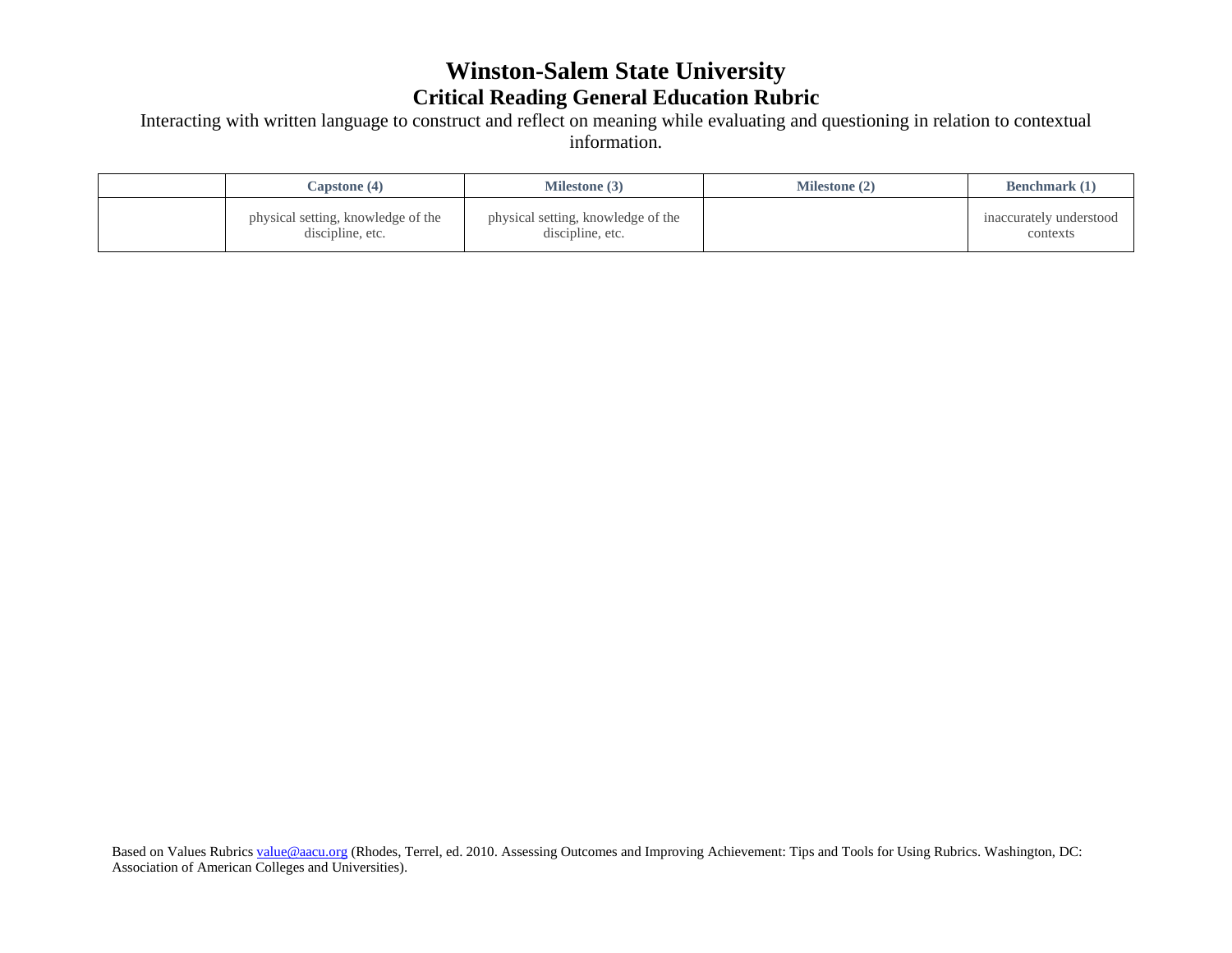## **Winston-Salem State University Critical Reading General Education Rubric**

Interacting with written language to construct and reflect on meaning while evaluating and questioning in relation to contextual information.

| Capstone $(4)$                                         | <b>Milestone</b> (3)                                   | <b>Milestone</b> (2) | <b>Benchmark</b> (1)                |
|--------------------------------------------------------|--------------------------------------------------------|----------------------|-------------------------------------|
| physical setting, knowledge of the<br>discipline, etc. | physical setting, knowledge of the<br>discipline, etc. |                      | inaccurately understood<br>contexts |

Based on Values Rubrics [value@aacu.org](mailto:value@aacu.org) (Rhodes, Terrel, ed. 2010. Assessing Outcomes and Improving Achievement: Tips and Tools for Using Rubrics. Washington, DC: Association of American Colleges and Universities).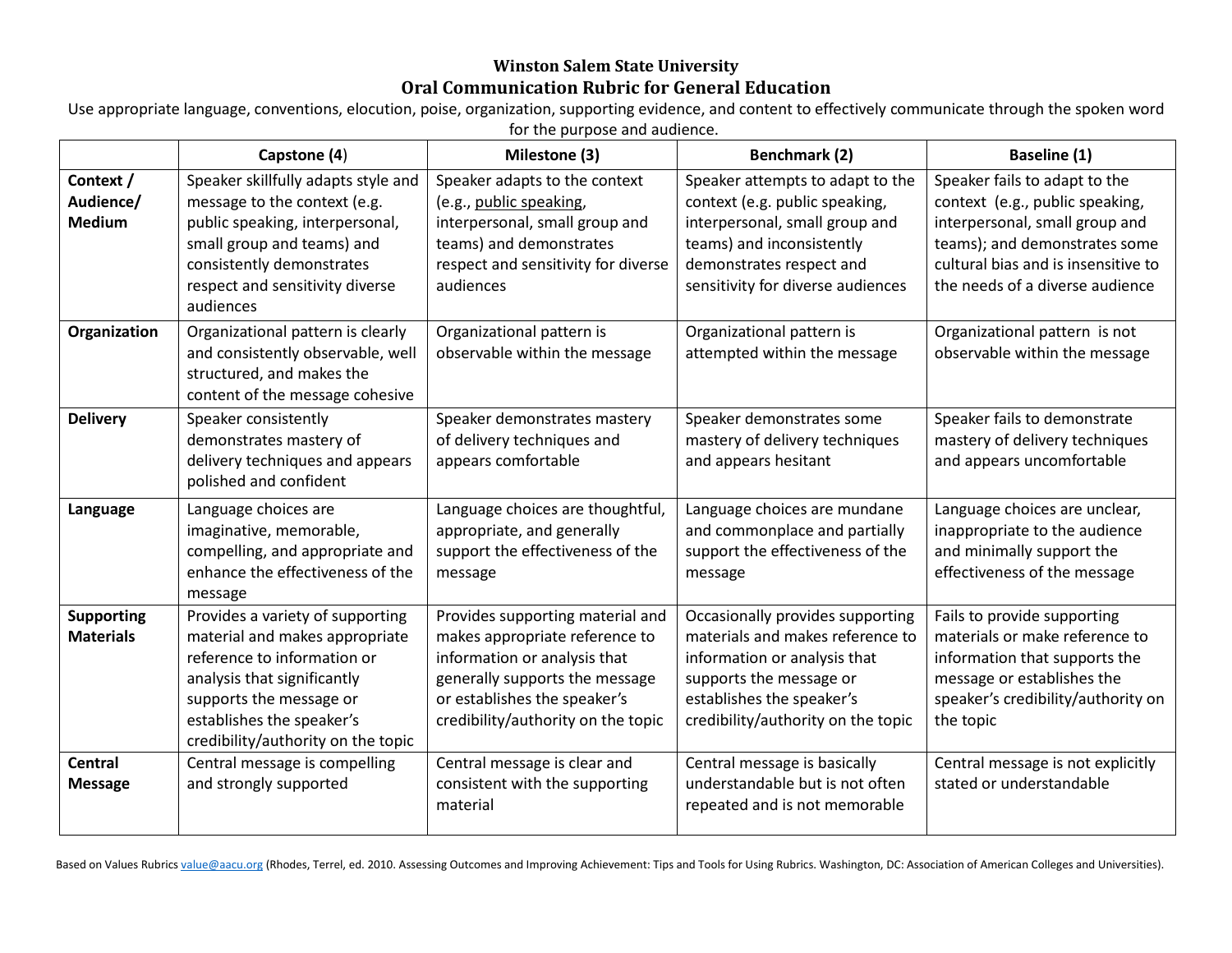## **Winston Salem State University Oral Communication Rubric for General Education**

Use appropriate language, conventions, elocution, poise, organization, supporting evidence, and content to effectively communicate through the spoken word for the purpose and audience.

|                                         | Capstone (4)                                                                                                                                                                                                                   | Milestone (3)                                                                                                                                                                                              | <b>Benchmark (2)</b>                                                                                                                                                                               | Baseline (1)                                                                                                                                                                                                  |
|-----------------------------------------|--------------------------------------------------------------------------------------------------------------------------------------------------------------------------------------------------------------------------------|------------------------------------------------------------------------------------------------------------------------------------------------------------------------------------------------------------|----------------------------------------------------------------------------------------------------------------------------------------------------------------------------------------------------|---------------------------------------------------------------------------------------------------------------------------------------------------------------------------------------------------------------|
| Context /<br>Audience/<br><b>Medium</b> | Speaker skillfully adapts style and<br>message to the context (e.g.<br>public speaking, interpersonal,<br>small group and teams) and<br>consistently demonstrates<br>respect and sensitivity diverse<br>audiences              | Speaker adapts to the context<br>(e.g., public speaking,<br>interpersonal, small group and<br>teams) and demonstrates<br>respect and sensitivity for diverse<br>audiences                                  | Speaker attempts to adapt to the<br>context (e.g. public speaking,<br>interpersonal, small group and<br>teams) and inconsistently<br>demonstrates respect and<br>sensitivity for diverse audiences | Speaker fails to adapt to the<br>context (e.g., public speaking,<br>interpersonal, small group and<br>teams); and demonstrates some<br>cultural bias and is insensitive to<br>the needs of a diverse audience |
| Organization                            | Organizational pattern is clearly<br>and consistently observable, well<br>structured, and makes the<br>content of the message cohesive                                                                                         | Organizational pattern is<br>observable within the message                                                                                                                                                 | Organizational pattern is<br>attempted within the message                                                                                                                                          | Organizational pattern is not<br>observable within the message                                                                                                                                                |
| <b>Delivery</b>                         | Speaker consistently<br>demonstrates mastery of<br>delivery techniques and appears<br>polished and confident                                                                                                                   | Speaker demonstrates mastery<br>of delivery techniques and<br>appears comfortable                                                                                                                          | Speaker demonstrates some<br>mastery of delivery techniques<br>and appears hesitant                                                                                                                | Speaker fails to demonstrate<br>mastery of delivery techniques<br>and appears uncomfortable                                                                                                                   |
| Language                                | Language choices are<br>imaginative, memorable,<br>compelling, and appropriate and<br>enhance the effectiveness of the<br>message                                                                                              | Language choices are thoughtful,<br>appropriate, and generally<br>support the effectiveness of the<br>message                                                                                              | Language choices are mundane<br>and commonplace and partially<br>support the effectiveness of the<br>message                                                                                       | Language choices are unclear,<br>inappropriate to the audience<br>and minimally support the<br>effectiveness of the message                                                                                   |
| <b>Supporting</b><br><b>Materials</b>   | Provides a variety of supporting<br>material and makes appropriate<br>reference to information or<br>analysis that significantly<br>supports the message or<br>establishes the speaker's<br>credibility/authority on the topic | Provides supporting material and<br>makes appropriate reference to<br>information or analysis that<br>generally supports the message<br>or establishes the speaker's<br>credibility/authority on the topic | Occasionally provides supporting<br>materials and makes reference to<br>information or analysis that<br>supports the message or<br>establishes the speaker's<br>credibility/authority on the topic | Fails to provide supporting<br>materials or make reference to<br>information that supports the<br>message or establishes the<br>speaker's credibility/authority on<br>the topic                               |
| <b>Central</b><br><b>Message</b>        | Central message is compelling<br>and strongly supported                                                                                                                                                                        | Central message is clear and<br>consistent with the supporting<br>material                                                                                                                                 | Central message is basically<br>understandable but is not often<br>repeated and is not memorable                                                                                                   | Central message is not explicitly<br>stated or understandable                                                                                                                                                 |

Based on Values Rubric[s value@aacu.org](mailto:value@aacu.org) (Rhodes, Terrel, ed. 2010. Assessing Outcomes and Improving Achievement: Tips and Tools for Using Rubrics. Washington, DC: Association of American Colleges and Universities).